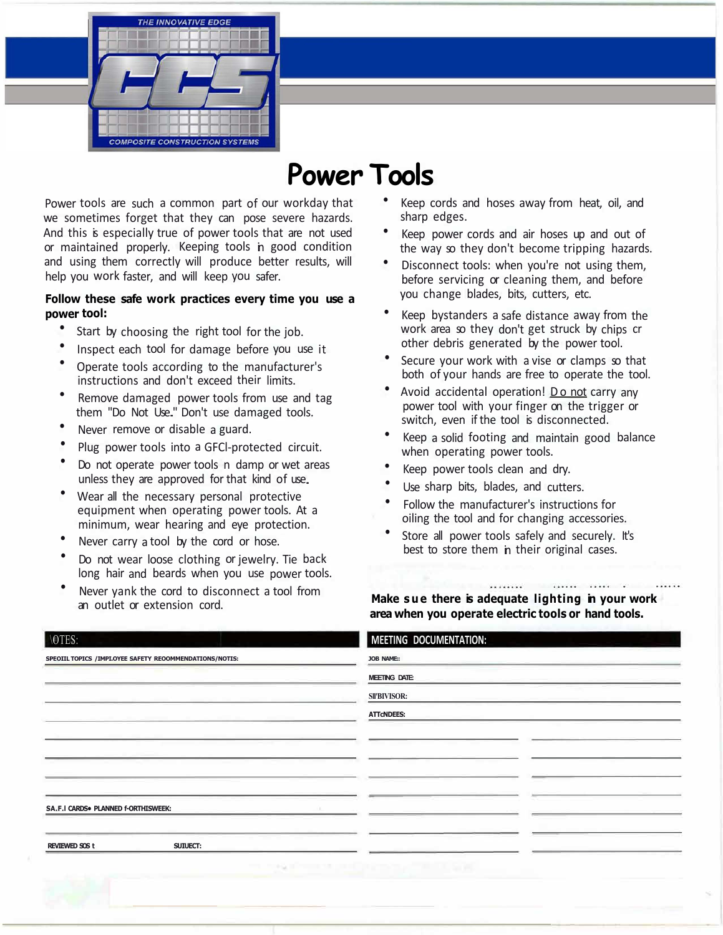

# **Power Tools**

Power tools are such a common part of our workday that we sometimes forget that they can pose severe hazards. And this is especially true of power tools that are not used or maintained properly. Keeping tools in good condition and using them correctly will produce better results, will help you work faster, and will keep you safer.

#### **Follow these safe work practices every time you use a power tool:**

- Start by choosing the right tool for the job.
- Inspect each tool for damage before you use it
- Operate tools according to the manufacturer's instructions and don't exceed their limits.
- Remove damaged power tools from use and tag them "Do Not Use." Don't use damaged tools.
- Never remove or disable a guard.
- Plug power tools into a GFCl-protected circuit.
- Do not operate power tools n damp or wet areas unless they are approved for that kind of use.
- Wear all the necessary personal protective equipment when operating power tools. At a minimum, wear hearing and eye protection.
- Never carry a tool by the cord or hose.
- Do not wear loose clothing or jewelry. Tie back long hair and beards when you use power tools.
- Never yank the cord to disconnect a tool from an outlet or extension cord.
- Keep cords and hoses away from heat, oil, and sharp edges.
- Keep power cords and air hoses up and out of the way so they don't become tripping hazards.
- Disconnect tools: when you're not using them, before servicing or cleaning them, and before you change blades, bits, cutters, etc.
- Keep bystanders a safe distance away from the work area so they don't get struck by chips cr other debris generated by the power tool.
- Secure your work with a vise or clamps so that both of your hands are free to operate the tool.
- Avoid accidental operation! Do not carry any power tool with your finger on the trigger or switch, even if the tool is disconnected.
- Keep a solid footing and maintain good balance when operating power tools.
- Keep power tools clean and dry.
- Use sharp bits, blades, and cutters.
- Follow the manufacturer's instructions for oiling the tool and for changing accessories.
- Store all power tools safely and securely. It's best to store them in their original cases.

**Make sue there is adequate lighting in your work area when you operate electric tools or hand tools.** 

| <b>\OTES:</b>                                            | MEETING DOCUMENTATION:             |
|----------------------------------------------------------|------------------------------------|
| SPEOIIL TOPICS / IMPI.OYEE SAFETY REOOMMENDATIONS/NOTIS: | <b>JOB NAME:</b>                   |
|                                                          | <b>MEETING DATE:</b>               |
|                                                          | <b>SII'BIVISOR:</b>                |
|                                                          | <b>ATTCNDEES:</b>                  |
|                                                          |                                    |
|                                                          |                                    |
|                                                          |                                    |
|                                                          |                                    |
| SA.F.I CARDS. PLANNED f-ORTHISWEEK:                      |                                    |
|                                                          |                                    |
| SUIUECT:<br><b>REVIEWED SOS t</b>                        |                                    |
|                                                          | THE R. P. LEWIS CO., LANSING MICH. |
|                                                          |                                    |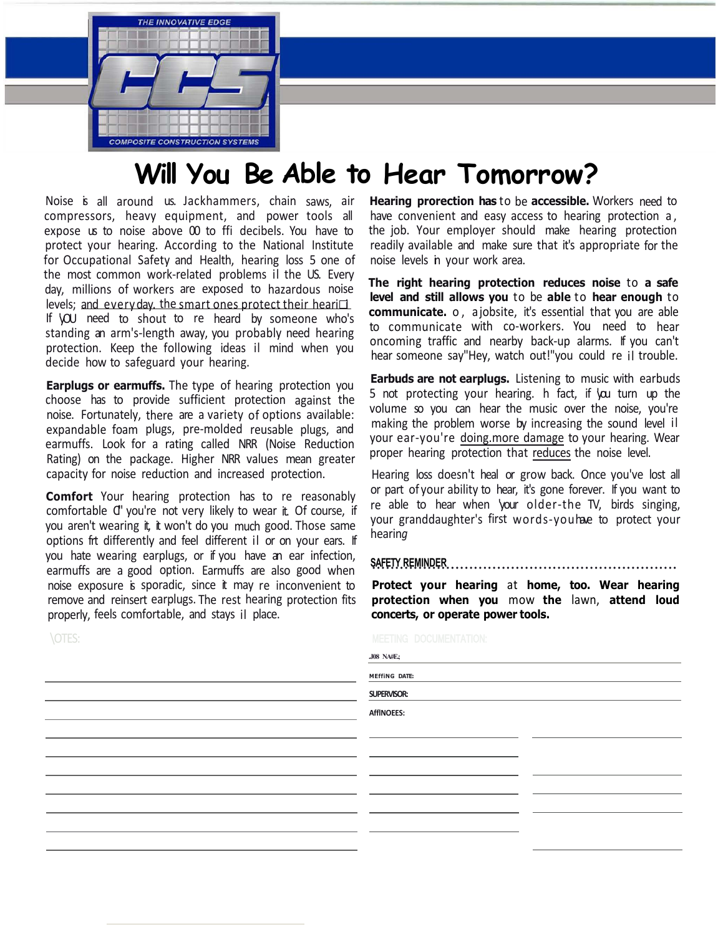

## **Will You Be Able to Hear Tomorrow?**

Noise is all around us. Jackhammers, chain saws, air compressors, heavy equipment, and power tools all expose us to noise above 00 to ffi decibels. You have to protect your hearing. According to the National Institute for Occupational Safety and Health, hearing loss 5 one of the most common work-related problems il the US. Every day, millions of workers are exposed to hazardous noise levels; and every day. the smart ones protect their heari $\Box$ If **VOU** need to shout to re heard by someone who's standing an arm's-length away, you probably need hearing protection. Keep the following ideas il mind when you decide how to safeguard your hearing.

**Earplugs or earmuffs.** The type of hearing protection you choose has to provide sufficient protection against the noise. Fortunately, there are a variety of options available: expandable foam plugs, pre-molded reusable plugs, and earmuffs. Look for a rating called NRR (Noise Reduction Rating) on the package. Higher NRR values mean greater capacity for noise reduction and increased protection.

**Comfort** Your hearing protection has to re reasonably comfortable C' you're not very likely to wear it. Of course, if you aren't wearing it, it won't do you much good. Those same options frt differently and feel different il or on your ears. If you hate wearing earplugs, or if you have an ear infection, earmuffs are a good option. Earmuffs are also good when noise exposure is sporadic, since it may re inconvenient to remove and reinsert earplugs. The rest hearing protection fits properly, feels comfortable, and stays il place.

\OTES:

**Hearing prorection has** to be **accessible.** Workers need to have convenient and easy access to hearing protection a, the job. Your employer should make hearing protection readily available and make sure that it's appropriate for the noise levels in your work area.

**The right hearing protection reduces noise** to **a safe level and still allows you** to be **able** to **hear enough** to **communicate.** o, a jobsite, it's essential that you are able to communicate with co-workers. You need to hear oncoming traffic and nearby back-up alarms. If you can't hear someone say"Hey, watch out!"you could re il trouble.

**Earbuds are not earplugs.** Listening to music with earbuds 5 not protecting your hearing. h fact, if 'you turn up the volume so you can hear the music over the noise, you're making the problem worse by increasing the sound level il your ear-you're doing.more damage to your hearing. Wear proper hearing protection that reduces the noise level.

Hearing loss doesn't heal or grow back. Once you've lost all or part of your ability to hear, it's gone forever. If you want to re able to hear when 'your older-the TV, birds singing, your granddaughter's first words-you have to protect your hearin*g* 

**SAFETY REMINDER** ··································································

**Protect your hearing** at **home, too. Wear hearing protection when you** mow **the** lawn, **attend loud concerts, or operate power tools.** 

**.J08 NA#E.;** 

**MEffiNG DATE:** 

**SUPERVISOR:** 

**AfflNOEES:**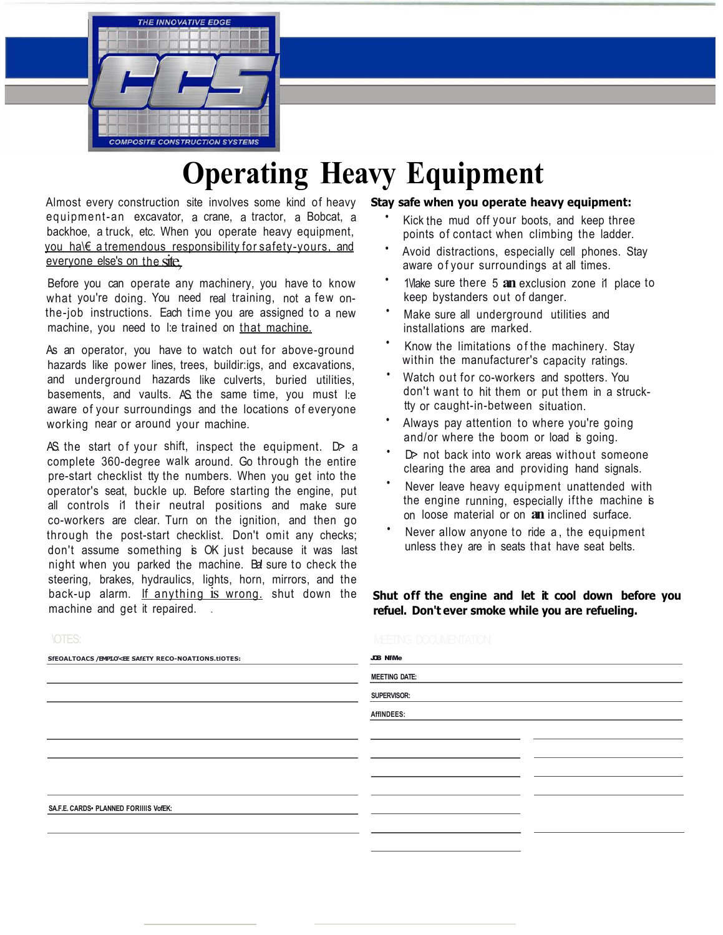

# **Operating Heavy Equipment**

Almost every construction site involves some kind of heavy equipment-an excavator, a crane, a tractor, a Bobcat, a backhoe, a truck, etc. When you operate heavy equipment, you ha\€ a tremendous responsibility for safety-yours, and  $\epsilon$  everyone else's on the site.

Before you can operate any machinery, you have to know what you're doing. You need real training, not a few onthe-job instructions. Each time you are assigned to a new machine, you need to l:e trained on that machine.

As an operator, you have to watch out for above-ground hazards like power lines, trees, buildir:igs, and excavations, and underground hazards like culverts, buried utilities, basements, and vaults. AS. the same time, you must l:e aware of your surroundings and the locations of everyone working near or around your machine.

AS the start of your shift, inspect the equipment.  $D \ge a$ complete 360-degree walk around. Go through the entire pre-start checklist tty the numbers. When you get into the operator's seat, buckle up. Before starting the engine, put all controls i1 their neutral positions and make sure co-workers are clear. Turn on the ignition, and then go through the post-start checklist. Don't omit any checks; don't assume something is OK just because it was last night when you parked the machine. Be sure to check the steering, brakes, hydraulics, lights, horn, mirrors, and the back-up alarm. If anything is wrong. shut down the machine and get it repaired.

### **Stay safe when you operate heavy equipment:**

- Kick the mud off your boots, and keep three points of contact when climbing the ladder.
- Avoid distractions, especially cell phones. Stay aware of your surroundings at all times.
- 1\/lake sure there 5 **an** exclusion zone i1 place to keep bystanders out of danger.
- Make sure all underground utilities and installations are marked.
- Know the limitations of the machinery. Stay within the manufacturer's capacity ratings.
- Watch out for co-workers and spotters. You don't want to hit them or put them in a strucktty or caught-in-between situation.
- Always pay attention to where you're going and/or where the boom or load is going.
- $D$  not back into work areas without someone clearing the area and providing hand signals.
- Never leave heavy equipment unattended with the engine running, especially ifthe machine is on loose material or on **an** inclined surface.
- Never allow anyone to ride a, the equipment unless they are in seats that have seat belts.

**Shut off the engine and let it cool down before you refuel. Don't ever smoke while you are refueling.** 

| UILV.                                                                                                   | IVEEHNJ LUUUNENIAIIUN. |  |
|---------------------------------------------------------------------------------------------------------|------------------------|--|
| SfEOALTOACS /EMPLO <ee reco-noations.tiotes:<="" saf£ty="" th=""><th><b>JOB NIMe</b></th><th></th></ee> | <b>JOB NIMe</b>        |  |
|                                                                                                         | <b>MEETING DATE:</b>   |  |
|                                                                                                         | SUPERVISOR:            |  |
|                                                                                                         | AffINDEES:             |  |
|                                                                                                         |                        |  |
|                                                                                                         |                        |  |
|                                                                                                         |                        |  |
|                                                                                                         |                        |  |
| SA.F.E. CARDS · PLANNED FORIIIIS VofEK:                                                                 |                        |  |
|                                                                                                         |                        |  |
|                                                                                                         |                        |  |
|                                                                                                         |                        |  |